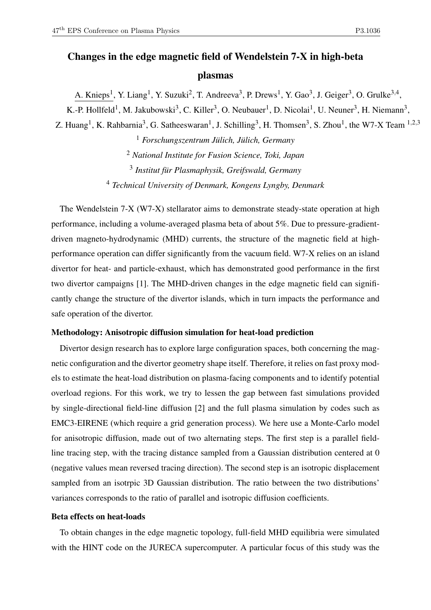# Changes in the edge magnetic field of Wendelstein 7-X in high-beta plasmas

A. Knieps<sup>1</sup>, Y. Liang<sup>1</sup>, Y. Suzuki<sup>2</sup>, T. Andreeva<sup>3</sup>, P. Drews<sup>1</sup>, Y. Gao<sup>3</sup>, J. Geiger<sup>3</sup>, O. Grulke<sup>3,4</sup>,

K.-P. Hollfeld<sup>1</sup>, M. Jakubowski<sup>3</sup>, C. Killer<sup>3</sup>, O. Neubauer<sup>1</sup>, D. Nicolai<sup>1</sup>, U. Neuner<sup>3</sup>, H. Niemann<sup>3</sup>,

Z. Huang<sup>1</sup>, K. Rahbarnia<sup>3</sup>, G. Satheeswaran<sup>1</sup>, J. Schilling<sup>3</sup>, H. Thomsen<sup>3</sup>, S. Zhou<sup>1</sup>, the W7-X Team <sup>1,2,3</sup>

 *Forschungszentrum Jülich, Jülich, Germany National Institute for Fusion Science, Toki, Japan Institut für Plasmaphysik, Greifswald, Germany Technical University of Denmark, Kongens Lyngby, Denmark*

The Wendelstein 7-X (W7-X) stellarator aims to demonstrate steady-state operation at high performance, including a volume-averaged plasma beta of about 5%. Due to pressure-gradientdriven magneto-hydrodynamic (MHD) currents, the structure of the magnetic field at highperformance operation can differ significantly from the vacuum field. W7-X relies on an island divertor for heat- and particle-exhaust, which has demonstrated good performance in the first two divertor campaigns [1]. The MHD-driven changes in the edge magnetic field can significantly change the structure of the divertor islands, which in turn impacts the performance and safe operation of the divertor.

## Methodology: Anisotropic diffusion simulation for heat-load prediction

Divertor design research has to explore large configuration spaces, both concerning the magnetic configuration and the divertor geometry shape itself. Therefore, it relies on fast proxy models to estimate the heat-load distribution on plasma-facing components and to identify potential overload regions. For this work, we try to lessen the gap between fast simulations provided by single-directional field-line diffusion [2] and the full plasma simulation by codes such as EMC3-EIRENE (which require a grid generation process). We here use a Monte-Carlo model for anisotropic diffusion, made out of two alternating steps. The first step is a parallel fieldline tracing step, with the tracing distance sampled from a Gaussian distribution centered at 0 (negative values mean reversed tracing direction). The second step is an isotropic displacement sampled from an isotrpic 3D Gaussian distribution. The ratio between the two distributions' variances corresponds to the ratio of parallel and isotropic diffusion coefficients.

#### Beta effects on heat-loads

To obtain changes in the edge magnetic topology, full-field MHD equilibria were simulated with the HINT code on the JURECA supercomputer. A particular focus of this study was the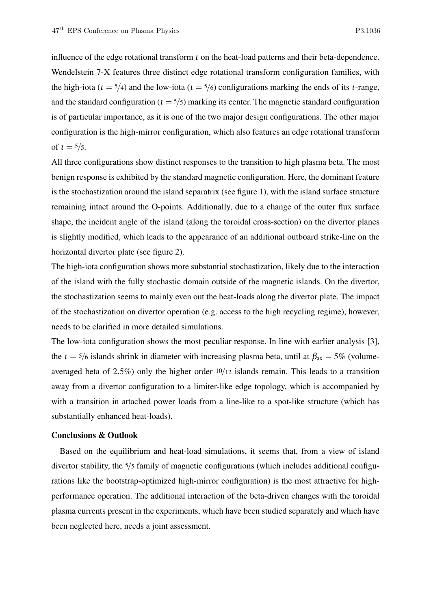influence of the edge rotational transform  $\iota$  on the heat-load patterns and their beta-dependence. Wendelstein 7-X features three distinct edge rotational transform configuration families, with the high-iota ( $t = 5/4$ ) and the low-iota ( $t = 5/6$ ) configurations marking the ends of its *t*-range, and the standard configuration ( $t = 5/5$ ) marking its center. The magnetic standard configuration is of particular importance, as it is one of the two major design configurations. The other major configuration is the high-mirror configuration, which also features an edge rotational transform of  $t = \frac{5}{5}$ .

All three configurations show distinct responses to the transition to high plasma beta. The most benign response is exhibited by the standard magnetic configuration. Here, the dominant feature is the stochastization around the island separatrix (see figure 1), with the island surface structure remaining intact around the O-points. Additionally, due to a change of the outer flux surface shape, the incident angle of the island (along the toroidal cross-section) on the divertor planes is slightly modified, which leads to the appearance of an additional outboard strike-line on the horizontal divertor plate (see figure 2).

The high-iota configuration shows more substantial stochastization, likely due to the interaction of the island with the fully stochastic domain outside of the magnetic islands. On the divertor, the stochastization seems to mainly even out the heat-loads along the divertor plate. The impact of the stochastization on divertor operation (e.g. access to the high recycling regime), however, needs to be clarified in more detailed simulations.

The low-iota configuration shows the most peculiar response. In line with earlier analysis [3], the  $t = 5/6$  islands shrink in diameter with increasing plasma beta, until at  $\beta_{ax} = 5\%$  (volumeaveraged beta of 2.5%) only the higher order 10/12 islands remain. This leads to a transition away from a divertor configuration to a limiter-like edge topology, which is accompanied by with a transition in attached power loads from a line-like to a spot-like structure (which has substantially enhanced heat-loads).

#### Conclusions & Outlook

Based on the equilibrium and heat-load simulations, it seems that, from a view of island divertor stability, the 5/5 family of magnetic configurations (which includes additional configurations like the bootstrap-optimized high-mirror configuration) is the most attractive for highperformance operation. The additional interaction of the beta-driven changes with the toroidal plasma currents present in the experiments, which have been studied separately and which have been neglected here, needs a joint assessment.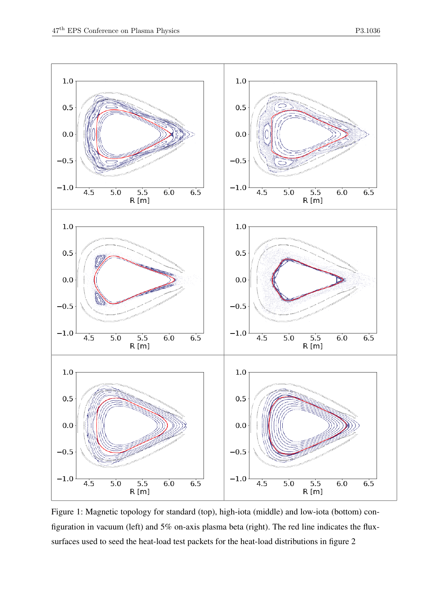

Figure 1: Magnetic topology for standard (top), high-iota (middle) and low-iota (bottom) configuration in vacuum (left) and 5% on-axis plasma beta (right). The red line indicates the fluxsurfaces used to seed the heat-load test packets for the heat-load distributions in figure 2